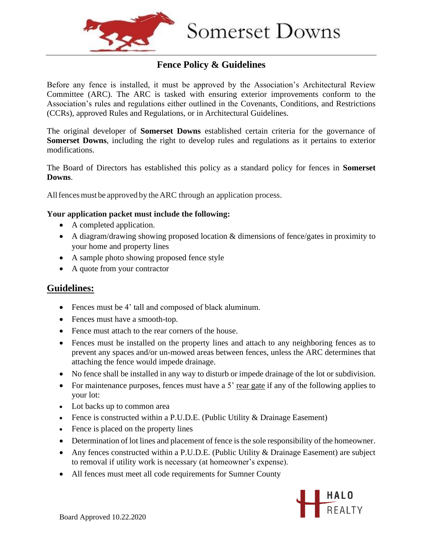

## **Fence Policy & Guidelines**

Before any fence is installed, it must be approved by the Association's Architectural Review Committee (ARC). The ARC is tasked with ensuring exterior improvements conform to the Association's rules and regulations either outlined in the Covenants, Conditions, and Restrictions (CCRs), approved Rules and Regulations, or in Architectural Guidelines.

The original developer of **Somerset Downs** established certain criteria for the governance of **Somerset Downs**, including the right to develop rules and regulations as it pertains to exterior modifications.

The Board of Directors has established this policy as a standard policy for fences in **Somerset Downs**.

All fences must be approved by the ARC through an application process.

#### **Your application packet must include the following:**

- A completed application.
- A diagram/drawing showing proposed location & dimensions of fence/gates in proximity to your home and property lines
- A sample photo showing proposed fence style
- A quote from your contractor

### **Guidelines:**

- Fences must be 4' tall and composed of black aluminum.
- Fences must have a smooth-top.
- Fence must attach to the rear corners of the house.
- Fences must be installed on the property lines and attach to any neighboring fences as to prevent any spaces and/or un-mowed areas between fences, unless the ARC determines that attaching the fence would impede drainage.
- No fence shall be installed in any way to disturb or impede drainage of the lot or subdivision.
- For maintenance purposes, fences must have a  $5'$  rear gate if any of the following applies to your lot:
- Lot backs up to common area
- Fence is constructed within a P.U.D.E. (Public Utility & Drainage Easement)
- Fence is placed on the property lines
- Determination of lot lines and placement of fence is the sole responsibility of the homeowner.
- Any fences constructed within a P.U.D.E. (Public Utility & Drainage Easement) are subject to removal if utility work is necessary (at homeowner's expense).
- All fences must meet all code requirements for Sumner County

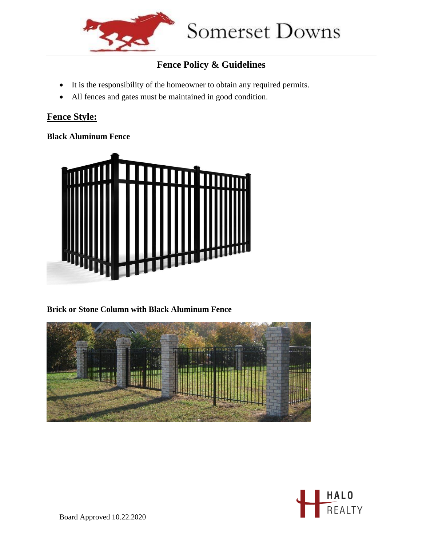

# **Fence Policy & Guidelines**

- It is the responsibility of the homeowner to obtain any required permits.
- All fences and gates must be maintained in good condition.

# **Fence Style:**

### **Black Aluminum Fence**



### **Brick or Stone Column with Black Aluminum Fence**





Board Approved 10.22.2020